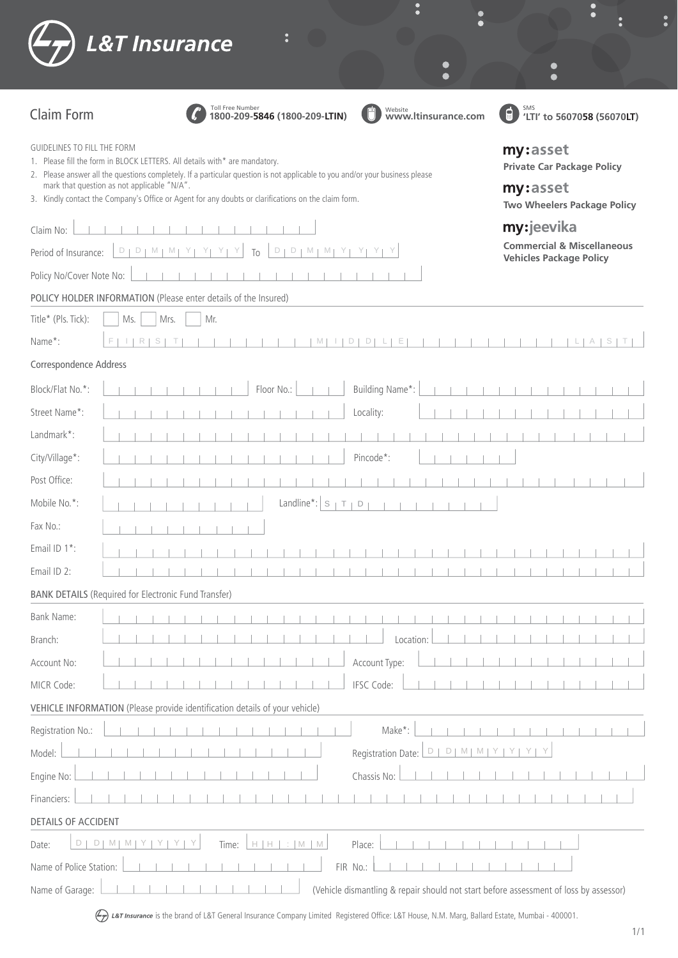|                             | <b>L&amp;T Insurance</b>                                                                                                                                                                                                                                                                                                                                         | г                                                                                               |
|-----------------------------|------------------------------------------------------------------------------------------------------------------------------------------------------------------------------------------------------------------------------------------------------------------------------------------------------------------------------------------------------------------|-------------------------------------------------------------------------------------------------|
|                             |                                                                                                                                                                                                                                                                                                                                                                  |                                                                                                 |
| <b>Claim Form</b>           | Toll Free Number<br>Website<br>WWW.ltinsurance.com<br>1800-209-5846 (1800-209-LTIN)                                                                                                                                                                                                                                                                              | ⊟<br>'LTI' to 5607058 (56070LT)                                                                 |
| GUIDELINES TO FILL THE FORM | 1. Please fill the form in BLOCK LETTERS. All details with* are mandatory.<br>2. Please answer all the questions completely. If a particular question is not applicable to you and/or your business please<br>mark that question as not applicable "N/A".<br>3. Kindly contact the Company's Office or Agent for any doubts or clarifications on the claim form. | my:asset<br><b>Private Car Package Policy</b><br>my:asset<br><b>Two Wheelers Package Policy</b> |
| Claim No:                   |                                                                                                                                                                                                                                                                                                                                                                  | my:jeevika                                                                                      |
| Period of Insurance:        | $D + D + M + M$<br>$D_1$<br>$D_1$<br>$M + M$<br>To                                                                                                                                                                                                                                                                                                               | <b>Commercial &amp; Miscellaneous</b><br><b>Vehicles Package Policy</b>                         |
| Policy No/Cover Note No:    |                                                                                                                                                                                                                                                                                                                                                                  |                                                                                                 |
|                             | POLICY HOLDER INFORMATION (Please enter details of the Insured)                                                                                                                                                                                                                                                                                                  |                                                                                                 |
| Title* (Pls. Tick):         | Mr.<br>Mrs.<br>Ms.                                                                                                                                                                                                                                                                                                                                               |                                                                                                 |
| Name*:                      | M                                                                                                                                                                                                                                                                                                                                                                |                                                                                                 |
| Correspondence Address      |                                                                                                                                                                                                                                                                                                                                                                  |                                                                                                 |
| Block/Flat No.*:            | Building Name*:<br>Floor No.:                                                                                                                                                                                                                                                                                                                                    |                                                                                                 |
| Street Name*:               | Locality:                                                                                                                                                                                                                                                                                                                                                        |                                                                                                 |
| Landmark*:                  |                                                                                                                                                                                                                                                                                                                                                                  |                                                                                                 |
| City/Village*:              | Pincode*:                                                                                                                                                                                                                                                                                                                                                        |                                                                                                 |
| Post Office:                |                                                                                                                                                                                                                                                                                                                                                                  |                                                                                                 |
| Mobile No.*:                | Landline*:<br>S<br>Т<br>D                                                                                                                                                                                                                                                                                                                                        |                                                                                                 |
| Fax No.:                    |                                                                                                                                                                                                                                                                                                                                                                  |                                                                                                 |
| Email ID 1*:                |                                                                                                                                                                                                                                                                                                                                                                  |                                                                                                 |
| Email ID 2:                 |                                                                                                                                                                                                                                                                                                                                                                  |                                                                                                 |
|                             | <b>BANK DETAILS (Required for Electronic Fund Transfer)</b>                                                                                                                                                                                                                                                                                                      |                                                                                                 |
| Bank Name:                  |                                                                                                                                                                                                                                                                                                                                                                  |                                                                                                 |
| Branch:                     | Location:                                                                                                                                                                                                                                                                                                                                                        |                                                                                                 |
| Account No:                 | Account Type:                                                                                                                                                                                                                                                                                                                                                    |                                                                                                 |
| MICR Code:                  | IFSC Code:                                                                                                                                                                                                                                                                                                                                                       |                                                                                                 |
|                             | VEHICLE INFORMATION (Please provide identification details of your vehicle)                                                                                                                                                                                                                                                                                      |                                                                                                 |
| Registration No.:           | Make*:                                                                                                                                                                                                                                                                                                                                                           |                                                                                                 |
| Model:                      | Registration Date:<br>D<br>D<br>M<br>M                                                                                                                                                                                                                                                                                                                           |                                                                                                 |
| Engine No:                  | Chassis No:                                                                                                                                                                                                                                                                                                                                                      |                                                                                                 |
| Financiers:                 |                                                                                                                                                                                                                                                                                                                                                                  |                                                                                                 |
| DETAILS OF ACCIDENT         |                                                                                                                                                                                                                                                                                                                                                                  |                                                                                                 |
| $D \mid$<br>D.<br>Date:     | $M \mid M$<br>$H$ $H$ $\rightarrow$ $M$ $M$<br>Place:<br>Y<br>Y<br>Y<br>Time:<br>Y                                                                                                                                                                                                                                                                               |                                                                                                 |
| Name of Police Station:     | FIR No.:                                                                                                                                                                                                                                                                                                                                                         |                                                                                                 |

ET Insurance is the brand of L&T General Insurance Company Limited Registered Office: L&T House, N.M. Marg, Ballard Estate, Mumbai - 400001.

Name of Garage: (Vehicle dismantling & repair should not start before assessment of loss by assessor)

 $\ddot{\bullet}$